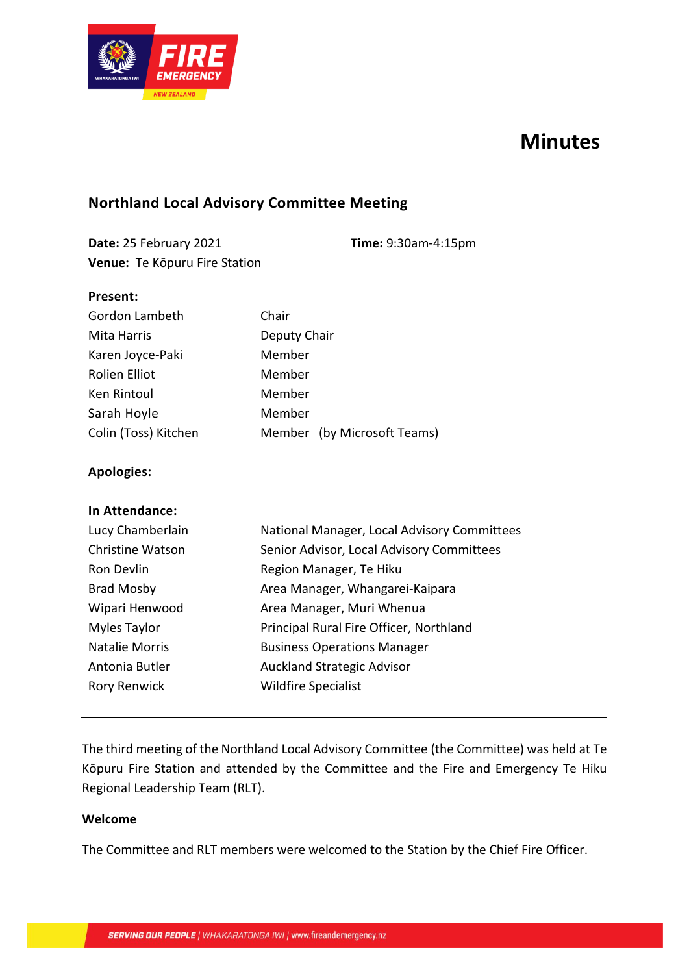

# **Minutes**

## **Northland Local Advisory Committee Meeting**

**Date:** 25 February 2021 **Time:** 9:30am-4:15pm **Venue:** Te Kōpuru Fire Station

#### **Present:**

| Gordon Lambeth       | Chair                       |
|----------------------|-----------------------------|
| Mita Harris          | Deputy Chair                |
| Karen Joyce-Paki     | Member                      |
| Rolien Elliot        | Member                      |
| Ken Rintoul          | Member                      |
| Sarah Hoyle          | Member                      |
| Colin (Toss) Kitchen | Member (by Microsoft Teams) |

#### **Apologies:**

| National Manager, Local Advisory Committees |
|---------------------------------------------|
| Senior Advisor, Local Advisory Committees   |
| Region Manager, Te Hiku                     |
| Area Manager, Whangarei-Kaipara             |
| Area Manager, Muri Whenua                   |
| Principal Rural Fire Officer, Northland     |
| <b>Business Operations Manager</b>          |
| <b>Auckland Strategic Advisor</b>           |
| <b>Wildfire Specialist</b>                  |
|                                             |

## The third meeting of the Northland Local Advisory Committee (the Committee) was held at Te Kōpuru Fire Station and attended by the Committee and the Fire and Emergency Te Hiku Regional Leadership Team (RLT).

#### **Welcome**

The Committee and RLT members were welcomed to the Station by the Chief Fire Officer.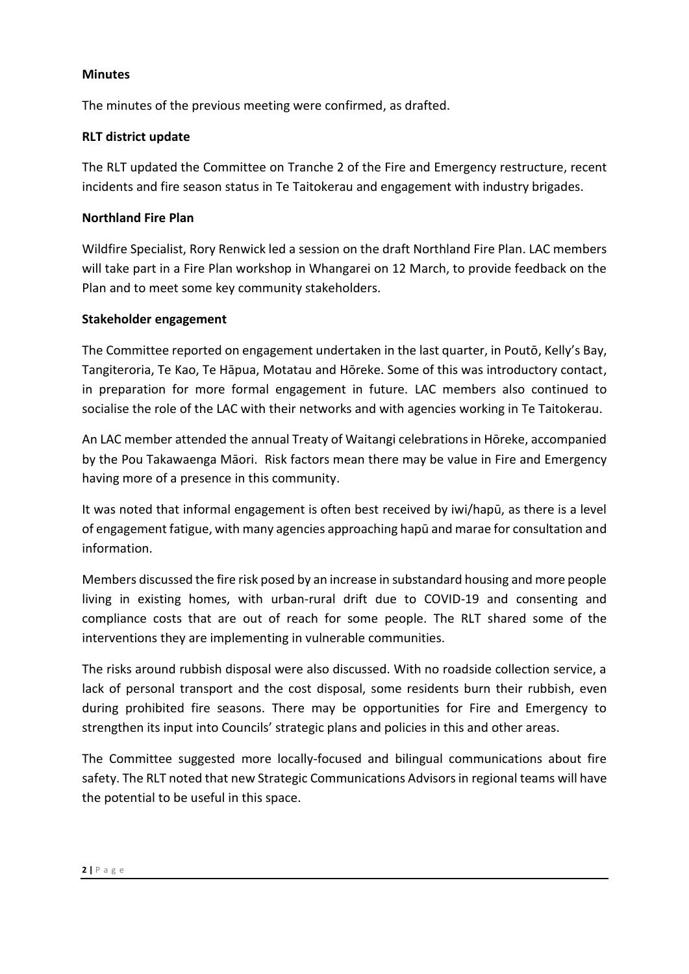#### **Minutes**

The minutes of the previous meeting were confirmed, as drafted.

#### **RLT district update**

The RLT updated the Committee on Tranche 2 of the Fire and Emergency restructure, recent incidents and fire season status in Te Taitokerau and engagement with industry brigades.

#### **Northland Fire Plan**

Wildfire Specialist, Rory Renwick led a session on the draft Northland Fire Plan. LAC members will take part in a Fire Plan workshop in Whangarei on 12 March, to provide feedback on the Plan and to meet some key community stakeholders.

#### **Stakeholder engagement**

The Committee reported on engagement undertaken in the last quarter, in Poutō, Kelly's Bay, Tangiteroria, Te Kao, Te Hāpua, Motatau and Hōreke. Some of this was introductory contact, in preparation for more formal engagement in future. LAC members also continued to socialise the role of the LAC with their networks and with agencies working in Te Taitokerau.

An LAC member attended the annual Treaty of Waitangi celebrations in Hōreke, accompanied by the Pou Takawaenga Māori. Risk factors mean there may be value in Fire and Emergency having more of a presence in this community.

It was noted that informal engagement is often best received by iwi/hapū, as there is a level of engagement fatigue, with many agencies approaching hapū and marae for consultation and information.

Members discussed the fire risk posed by an increase in substandard housing and more people living in existing homes, with urban-rural drift due to COVID-19 and consenting and compliance costs that are out of reach for some people. The RLT shared some of the interventions they are implementing in vulnerable communities.

The risks around rubbish disposal were also discussed. With no roadside collection service, a lack of personal transport and the cost disposal, some residents burn their rubbish, even during prohibited fire seasons. There may be opportunities for Fire and Emergency to strengthen its input into Councils' strategic plans and policies in this and other areas.

The Committee suggested more locally-focused and bilingual communications about fire safety. The RLT noted that new Strategic Communications Advisors in regional teams will have the potential to be useful in this space.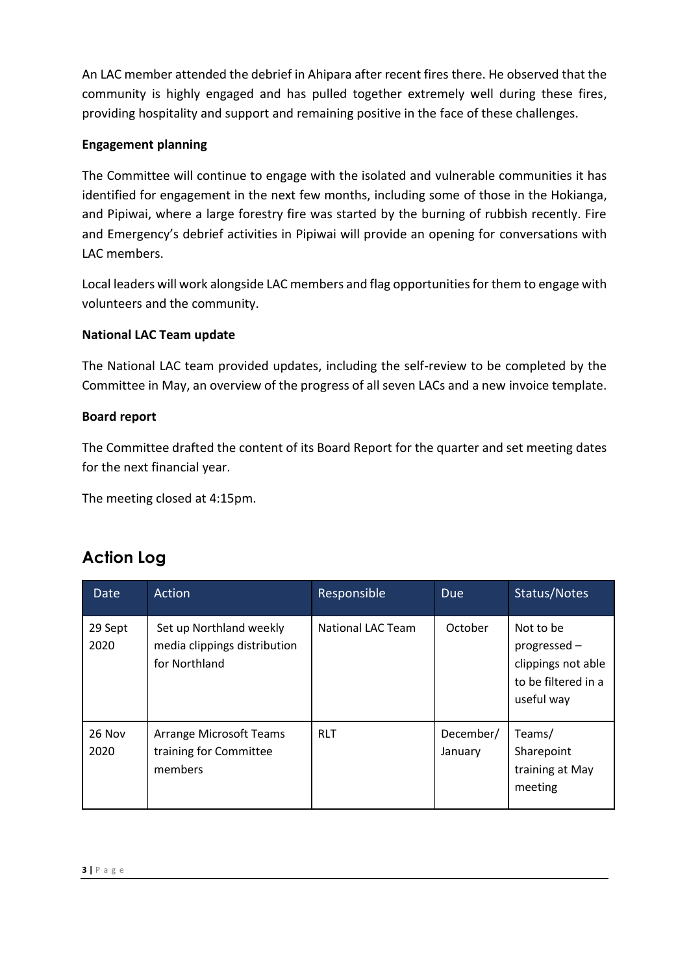An LAC member attended the debrief in Ahipara after recent fires there. He observed that the community is highly engaged and has pulled together extremely well during these fires, providing hospitality and support and remaining positive in the face of these challenges.

#### **Engagement planning**

The Committee will continue to engage with the isolated and vulnerable communities it has identified for engagement in the next few months, including some of those in the Hokianga, and Pipiwai, where a large forestry fire was started by the burning of rubbish recently. Fire and Emergency's debrief activities in Pipiwai will provide an opening for conversations with LAC members.

Local leaders will work alongside LAC members and flag opportunities for them to engage with volunteers and the community.

#### **National LAC Team update**

The National LAC team provided updates, including the self-review to be completed by the Committee in May, an overview of the progress of all seven LACs and a new invoice template.

#### **Board report**

The Committee drafted the content of its Board Report for the quarter and set meeting dates for the next financial year.

The meeting closed at 4:15pm.

# **Action Log**

| Date            | Action                                                                   | Responsible       | <b>Due</b>           | Status/Notes                                                                         |
|-----------------|--------------------------------------------------------------------------|-------------------|----------------------|--------------------------------------------------------------------------------------|
| 29 Sept<br>2020 | Set up Northland weekly<br>media clippings distribution<br>for Northland | National LAC Team | October              | Not to be<br>progressed -<br>clippings not able<br>to be filtered in a<br>useful way |
| 26 Nov<br>2020  | <b>Arrange Microsoft Teams</b><br>training for Committee<br>members      | <b>RLT</b>        | December/<br>January | Teams/<br>Sharepoint<br>training at May<br>meeting                                   |